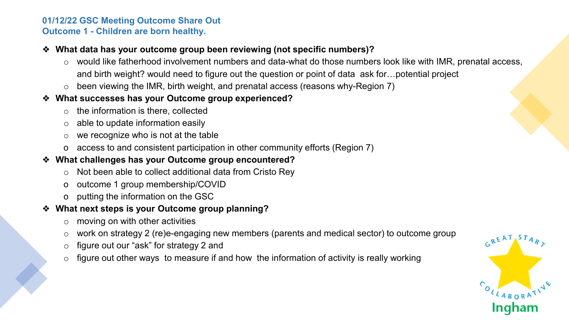#### **01/12/22 GSC Meeting Outcome Share Out Outcome 1 - Children are born healthy.**

## ❖ **What data has your outcome group been reviewing (not specific numbers)?**

- o would like fatherhood involvement numbers and data-what do those numbers look like with IMR, prenatal access, and birth weight? would need to figure out the question or point of data ask for…potential project
- $\circ$  been viewing the IMR, birth weight, and prenatal access (reasons why-Region 7)

## ❖ **What successes has your Outcome group experienced?**

- $\circ$  the information is there, collected
- $\circ$  able to update information easily
- $\circ$  we recognize who is not at the table
- o access to and consistent participation in other community efforts (Region 7)

# ❖ **What challenges has your Outcome group encountered?**

- o Not been able to collect additional data from Cristo Rey
- o outcome 1 group membership/COVID
- o putting the information on the GSC

# ❖ **What next steps is your Outcome group planning?**

- $\circ$  moving on with other activities
- o work on strategy 2 (re)e-engaging new members (parents and medical sector) to outcome group
- o figure out our "ask" for strategy 2 and
- $\circ$  figure out other ways to measure if and how the information of activity is really working

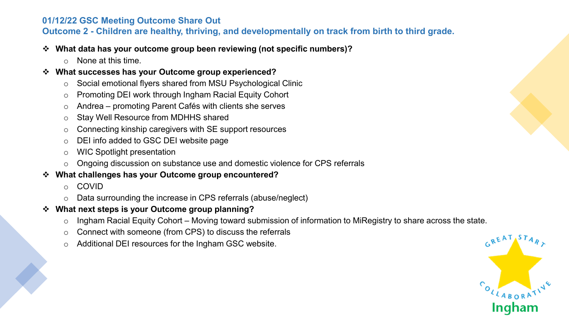### **01/12/22 GSC Meeting Outcome Share Out**

**Outcome 2 - Children are healthy, thriving, and developmentally on track from birth to third grade.** 

#### **What data has your outcome group been reviewing (not specific numbers)?**

o None at this time.

#### **What successes has your Outcome group experienced?**

- o Social emotional flyers shared from MSU Psychological Clinic
- o Promoting DEI work through Ingham Racial Equity Cohort
- o Andrea promoting Parent Cafés with clients she serves
- o Stay Well Resource from MDHHS shared
- o Connecting kinship caregivers with SE support resources
- o DEI info added to GSC DEI website page
- o WIC Spotlight presentation
- o Ongoing discussion on substance use and domestic violence for CPS referrals

## **What challenges has your Outcome group encountered?**

- o COVID
- o Data surrounding the increase in CPS referrals (abuse/neglect)
- **What next steps is your Outcome group planning?**
	- $\circ$  Ingham Racial Equity Cohort Moving toward submission of information to MiRegistry to share across the state.
	- o Connect with someone (from CPS) to discuss the referrals
	- o Additional DEI resources for the Ingham GSC website.

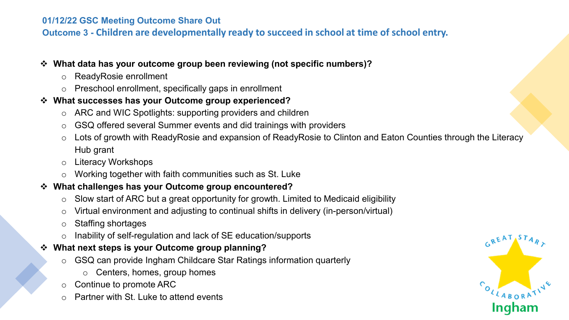### **01/12/22 GSC Meeting Outcome Share Out**

**Outcome 3 - Children are developmentally ready to succeed in school at time of school entry.**

#### **What data has your outcome group been reviewing (not specific numbers)?**

- o ReadyRosie enrollment
- o Preschool enrollment, specifically gaps in enrollment

## **What successes has your Outcome group experienced?**

- ARC and WIC Spotlights: supporting providers and children
- o GSQ offered several Summer events and did trainings with providers
- Lots of growth with ReadyRosie and expansion of ReadyRosie to Clinton and Eaton Counties through the Literacy Hub grant
- o Literacy Workshops
- o Working together with faith communities such as St. Luke

# **What challenges has your Outcome group encountered?**

- $\circ$  Slow start of ARC but a great opportunity for growth. Limited to Medicaid eligibility
- o Virtual environment and adjusting to continual shifts in delivery (in-person/virtual)
- o Staffing shortages
- o Inability of self-regulation and lack of SE education/supports

# **What next steps is your Outcome group planning?**

- o GSQ can provide Ingham Childcare Star Ratings information quarterly
	- o Centers, homes, group homes
- o Continue to promote ARC
- $\circ$  Partner with St. Luke to attend events